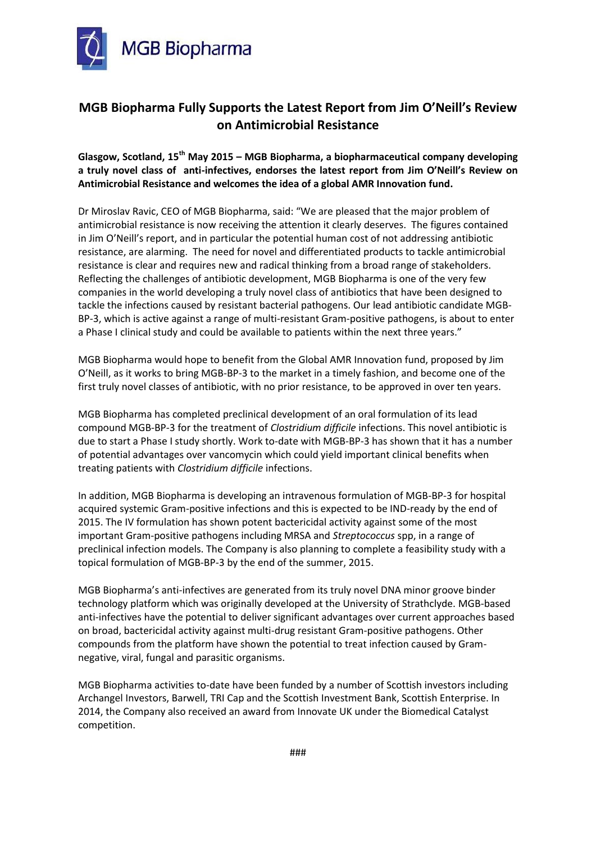

## **MGB Biopharma Fully Supports the Latest Report from Jim O'Neill's Review on Antimicrobial Resistance**

**Glasgow, Scotland, 15th May 2015 – MGB Biopharma, a biopharmaceutical company developing a truly novel class of anti-infectives, endorses the latest report from Jim O'Neill's Review on Antimicrobial Resistance and welcomes the idea of a global AMR Innovation fund.**

Dr Miroslav Ravic, CEO of MGB Biopharma, said: "We are pleased that the major problem of antimicrobial resistance is now receiving the attention it clearly deserves. The figures contained in Jim O'Neill's report, and in particular the potential human cost of not addressing antibiotic resistance, are alarming. The need for novel and differentiated products to tackle antimicrobial resistance is clear and requires new and radical thinking from a broad range of stakeholders. Reflecting the challenges of antibiotic development, MGB Biopharma is one of the very few companies in the world developing a truly novel class of antibiotics that have been designed to tackle the infections caused by resistant bacterial pathogens. Our lead antibiotic candidate MGB-BP-3, which is active against a range of multi-resistant Gram-positive pathogens, is about to enter a Phase I clinical study and could be available to patients within the next three years."

MGB Biopharma would hope to benefit from the Global AMR Innovation fund, proposed by Jim O'Neill, as it works to bring MGB-BP-3 to the market in a timely fashion, and become one of the first truly novel classes of antibiotic, with no prior resistance, to be approved in over ten years.

MGB Biopharma has completed preclinical development of an oral formulation of its lead compound MGB-BP-3 for the treatment of *Clostridium difficile* infections. This novel antibiotic is due to start a Phase I study shortly. Work to-date with MGB-BP-3 has shown that it has a number of potential advantages over vancomycin which could yield important clinical benefits when treating patients with *Clostridium difficile* infections.

In addition, MGB Biopharma is developing an intravenous formulation of MGB-BP-3 for hospital acquired systemic Gram-positive infections and this is expected to be IND-ready by the end of 2015. The IV formulation has shown potent bactericidal activity against some of the most important Gram-positive pathogens including MRSA and *Streptococcus* spp, in a range of preclinical infection models. The Company is also planning to complete a feasibility study with a topical formulation of MGB-BP-3 by the end of the summer, 2015.

MGB Biopharma's anti-infectives are generated from its truly novel DNA minor groove binder technology platform which was originally developed at the University of Strathclyde. MGB-based anti-infectives have the potential to deliver significant advantages over current approaches based on broad, bactericidal activity against multi-drug resistant Gram-positive pathogens. Other compounds from the platform have shown the potential to treat infection caused by Gramnegative, viral, fungal and parasitic organisms.

MGB Biopharma activities to-date have been funded by a number of Scottish investors including Archangel Investors, Barwell, TRI Cap and the Scottish Investment Bank, Scottish Enterprise. In 2014, the Company also received an award from Innovate UK under the Biomedical Catalyst competition.